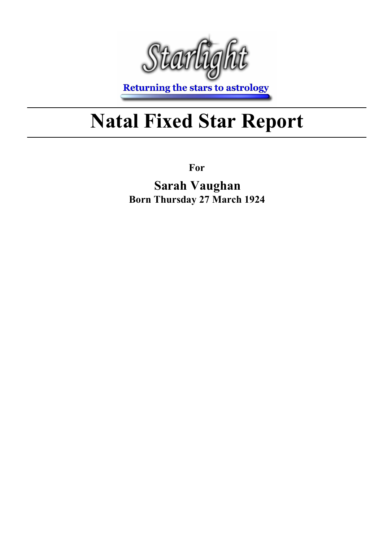

**Returning the stars to astrology** 

## Natal Fixed Star Report

For

Sarah Vaughan Born Thursday 27 March 1924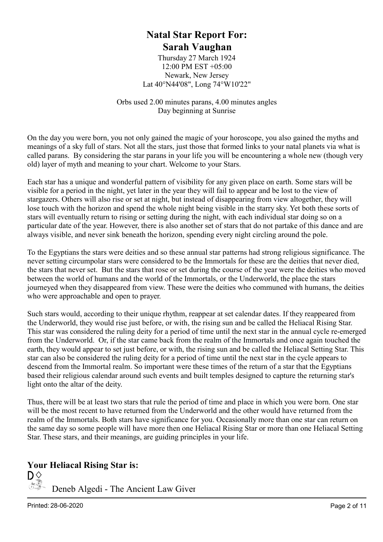#### Natal Star Report For: Sarah Vaughan

Thursday 27 March 1924 12:00 PM EST +05:00 Newark, New Jersey Lat 40°N44'08", Long 74°W10'22"

Orbs used 2.00 minutes parans, 4.00 minutes angles Day beginning at Sunrise

On the day you were born, you not only gained the magic of your horoscope, you also gained the myths and meanings of a sky full of stars. Not all the stars, just those that formed links to your natal planets via what is called parans. By considering the star parans in your life you will be encountering a whole new (though very old) layer of myth and meaning to your chart. Welcome to your Stars.

Each star has a unique and wonderful pattern of visibility for any given place on earth. Some stars will be visible for a period in the night, yet later in the year they will fail to appear and be lost to the view of stargazers. Others will also rise or set at night, but instead of disappearing from view altogether, they will lose touch with the horizon and spend the whole night being visible in the starry sky. Yet both these sorts of stars will eventually return to rising or setting during the night, with each individual star doing so on a particular date of the year. However, there is also another set of stars that do not partake of this dance and are always visible, and never sink beneath the horizon, spending every night circling around the pole.

To the Egyptians the stars were deities and so these annual star patterns had strong religious significance. The never setting circumpolar stars were considered to be the Immortals for these are the deities that never died, the stars that never set. But the stars that rose or set during the course of the year were the deities who moved between the world of humans and the world of the Immortals, or the Underworld, the place the stars journeyed when they disappeared from view. These were the deities who communed with humans, the deities who were approachable and open to prayer.

Such stars would, according to their unique rhythm, reappear at set calendar dates. If they reappeared from the Underworld, they would rise just before, or with, the rising sun and be called the Heliacal Rising Star. This star was considered the ruling deity for a period of time until the next star in the annual cycle re-emerged from the Underworld. Or, if the star came back from the realm of the Immortals and once again touched the earth, they would appear to set just before, or with, the rising sun and be called the Heliacal Setting Star. This star can also be considered the ruling deity for a period of time until the next star in the cycle appears to descend from the Immortal realm. So important were these times of the return of a star that the Egyptians based their religious calendar around such events and built temples designed to capture the returning star's light onto the altar of the deity.

Thus, there will be at least two stars that rule the period of time and place in which you were born. One star will be the most recent to have returned from the Underworld and the other would have returned from the realm of the Immortals. Both stars have significance for you. Occasionally more than one star can return on the same day so some people will have more then one Heliacal Rising Star or more than one Heliacal Setting Star. These stars, and their meanings, are guiding principles in your life.

#### Your Heliacal Rising Star is:

 $\mathsf{D}_{\infty}^{\diamondsuit}$  Deneb Algedi - The Ancient Law Giver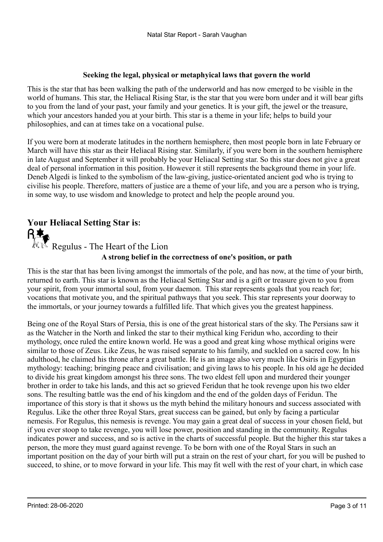#### Seeking the legal, physical or metaphyical laws that govern the world

This is the star that has been walking the path of the underworld and has now emerged to be visible in the world of humans. This star, the Heliacal Rising Star, is the star that you were born under and it will bear gifts to you from the land of your past, your family and your genetics. It is your gift, the jewel or the treasure, which your ancestors handed you at your birth. This star is a theme in your life; helps to build your philosophies, and can at times take on a vocational pulse.

If you were born at moderate latitudes in the northern hemisphere, then most people born in late February or March will have this star as their Heliacal Rising star. Similarly, if you were born in the southern hemisphere in late August and September it will probably be your Heliacal Setting star. So this star does not give a great deal of personal information in this position. However it still represents the background theme in your life. Deneb Algedi is linked to the symbolism of the law-giving, justice-orientated ancient god who is trying to civilise his people. Therefore, matters of justice are a theme of your life, and you are a person who is trying, in some way, to use wisdom and knowledge to protect and help the people around you.

#### Your Heliacal Setting Star is:

A strong belief in the correctness of one's position, or path  $\mathbb{R} \setminus \mathbb{R}$  Regulus - The Heart of the Lion

This is the star that has been living amongst the immortals of the pole, and has now, at the time of your birth, returned to earth. This star is known as the Heliacal Setting Star and is a gift or treasure given to you from your spirit, from your immortal soul, from your daemon. This star represents goals that you reach for; vocations that motivate you, and the spiritual pathways that you seek. This star represents your doorway to the immortals, or your journey towards a fulfilled life. That which gives you the greatest happiness.

Being one of the Royal Stars of Persia, this is one of the great historical stars of the sky. The Persians saw it as the Watcher in the North and linked the star to their mythical king Feridun who, according to their mythology, once ruled the entire known world. He was a good and great king whose mythical origins were similar to those of Zeus. Like Zeus, he was raised separate to his family, and suckled on a sacred cow. In his adulthood, he claimed his throne after a great battle. He is an image also very much like Osiris in Egyptian mythology: teaching; bringing peace and civilisation; and giving laws to his people. In his old age he decided to divide his great kingdom amongst his three sons. The two eldest fell upon and murdered their younger brother in order to take his lands, and this act so grieved Feridun that he took revenge upon his two elder sons. The resulting battle was the end of his kingdom and the end of the golden days of Feridun. The importance of this story is that it shows us the myth behind the military honours and success associated with Regulus. Like the other three Royal Stars, great success can be gained, but only by facing a particular nemesis. For Regulus, this nemesis is revenge. You may gain a great deal of success in your chosen field, but if you ever stoop to take revenge, you will lose power, position and standing in the community. Regulus indicates power and success, and so is active in the charts of successful people. But the higher this star takes a person, the more they must guard against revenge. To be born with one of the Royal Stars in such an important position on the day of your birth will put a strain on the rest of your chart, for you will be pushed to succeed, to shine, or to move forward in your life. This may fit well with the rest of your chart, in which case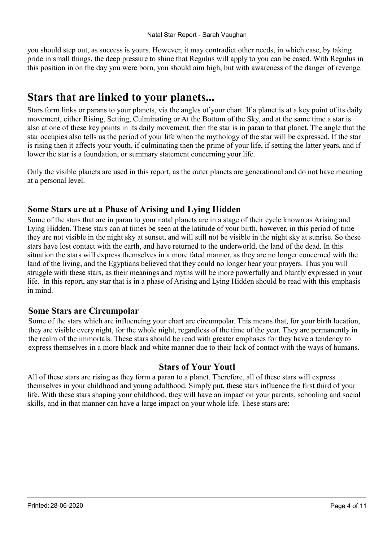you should step out, as success is yours. However, it may contradict other needs, in which case, by taking pride in small things, the deep pressure to shine that Regulus will apply to you can be eased. With Regulus in this position in on the day you were born, you should aim high, but with awareness of the danger of revenge.

### Stars that are linked to your planets...

Stars form links or parans to your planets, via the angles of your chart. If a planet is at a key point of its daily movement, either Rising, Setting, Culminating or At the Bottom of the Sky, and at the same time a star is also at one of these key points in its daily movement, then the star is in paran to that planet. The angle that the star occupies also tells us the period of your life when the mythology of the star will be expressed. If the star is rising then it affects your youth, if culminating then the prime of your life, if setting the latter years, and if lower the star is a foundation, or summary statement concerning your life.

Only the visible planets are used in this report, as the outer planets are generational and do not have meaning at a personal level.

#### Some Stars are at a Phase of Arising and Lying Hidden

Some of the stars that are in paran to your natal planets are in a stage of their cycle known as Arising and Lying Hidden. These stars can at times be seen at the latitude of your birth, however, in this period of time they are not visible in the night sky at sunset, and will still not be visible in the night sky at sunrise. So these stars have lost contact with the earth, and have returned to the underworld, the land of the dead. In this situation the stars will express themselves in a more fated manner, as they are no longer concerned with the land of the living, and the Egyptians believed that they could no longer hear your prayers. Thus you will struggle with these stars, as their meanings and myths will be more powerfully and bluntly expressed in your life. In this report, any star that is in a phase of Arising and Lying Hidden should be read with this emphasis in mind.

#### Some Stars are Circumpolar

Some of the stars which are influencing your chart are circumpolar. This means that, for your birth location, they are visible every night, for the whole night, regardless of the time of the year. They are permanently in the realm of the immortals. These stars should be read with greater emphases for they have a tendency to express themselves in a more black and white manner due to their lack of contact with the ways of humans.

#### Stars of Your Youth

All of these stars are rising as they form a paran to a planet. Therefore, all of these stars will express themselves in your childhood and young adulthood. Simply put, these stars influence the first third of your life. With these stars shaping your childhood, they will have an impact on your parents, schooling and social skills, and in that manner can have a large impact on your whole life. These stars are: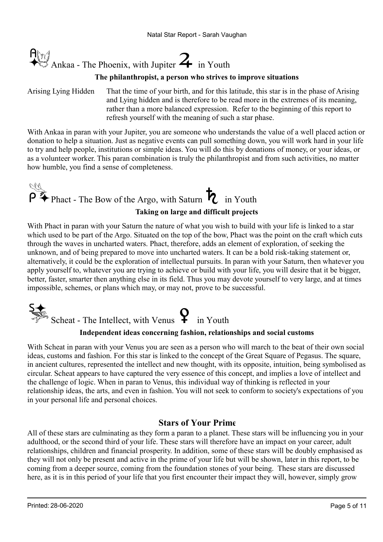

#### The philanthropist, a person who strives to improve situations

Arising Lying Hidden

That the time of your birth, and for this latitude, this star is in the phase of Arising and Lying hidden and is therefore to be read more in the extremes of its meaning, rather than a more balanced expression. Refer to the beginning of this report to refresh yourself with the meaning of such a star phase.

With Ankaa in paran with your Jupiter, you are someone who understands the value of a well placed action or donation to help a situation. Just as negative events can pull something down, you will work hard in your life to try and help people, institutions or simple ideas. You will do this by donations of money, or your ideas, or as a volunteer worker. This paran combination is truly the philanthropist and from such activities, no matter how humble, you find a sense of completeness.

### P<sup>ty</sup> Phact - The Bow of the Argo, with Saturn **the Figure 1** in Youth Taking on large and difficult projects

With Phact in paran with your Saturn the nature of what you wish to build with your life is linked to a star which used to be part of the Argo. Situated on the top of the bow, Phact was the point on the craft which cuts through the waves in uncharted waters. Phact, therefore, adds an element of exploration, of seeking the unknown, and of being prepared to move into uncharted waters. It can be a bold risk-taking statement or, alternatively, it could be the exploration of intellectual pursuits. In paran with your Saturn, then whatever you apply yourself to, whatever you are trying to achieve or build with your life, you will desire that it be bigger, better, faster, smarter then anything else in its field. Thus you may devote yourself to very large, and at times impossible, schemes, or plans which may, or may not, prove to be successful.



#### Independent ideas concerning fashion, relationships and social customs

With Scheat in paran with your Venus you are seen as a person who will march to the beat of their own social ideas, customs and fashion. For this star is linked to the concept of the Great Square of Pegasus. The square, in ancient cultures, represented the intellect and new thought, with its opposite, intuition, being symbolised as circular. Scheat appears to have captured the very essence of this concept, and implies a love of intellect and the challenge of logic. When in paran to Venus, this individual way of thinking is reflected in your relationship ideas, the arts, and even in fashion. You will not seek to conform to society's expectations of you in your personal life and personal choices.

#### Stars of Your Prime

All of these stars are culminating as they form a paran to a planet. These stars will be influencing you in your adulthood, or the second third of your life. These stars will therefore have an impact on your career, adult relationships, children and financial prosperity. In addition, some of these stars will be doubly emphasised as they will not only be present and active in the prime of your life but will be shown, later in this report, to be coming from a deeper source, coming from the foundation stones of your being. These stars are discussed here, as it is in this period of your life that you first encounter their impact they will, however, simply grow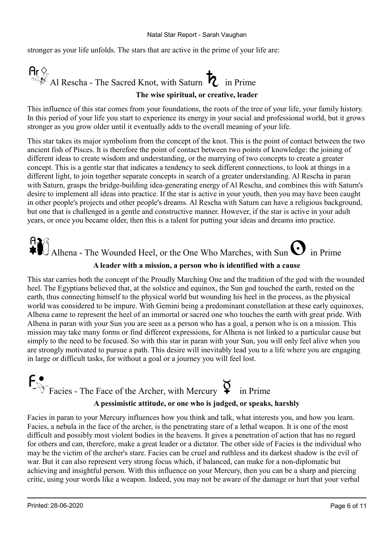stronger as your life unfolds. The stars that are active in the prime of your life are:

### $\mathsf{Ar} \diamondsuit$ <br>Al Rescha - The Sacred Knot, with Saturn  $\mathcal{R}$  in Prime The wise spiritual, or creative, leader

This influence of this star comes from your foundations, the roots of the tree of your life, your family history. In this period of your life you start to experience its energy in your social and professional world, but it grows stronger as you grow older until it eventually adds to the overall meaning of your life.

This star takes its major symbolism from the concept of the knot. This is the point of contact between the two ancient fish of Pisces. It is therefore the point of contact between two points of knowledge: the joining of different ideas to create wisdom and understanding, or the marrying of two concepts to create a greater concept. This is a gentle star that indicates a tendency to seek different connections, to look at things in a different light, to join together separate concepts in search of a greater understanding. Al Rescha in paran with Saturn, grasps the bridge-building idea-generating energy of Al Rescha, and combines this with Saturn's desire to implement all ideas into practice. If the star is active in your youth, then you may have been caught in other people's projects and other people's dreams. Al Rescha with Saturn can have a religious background, but one that is challenged in a gentle and constructive manner. However, if the star is active in your adult years, or once you became older, then this is a talent for putting your ideas and dreams into practice.

## Allhena - The Wounded Heel, or the One Who Marches, with Sun  $\mathbf O$  in Prime A leader with a mission, a person who is identified with a cause

This star carries both the concept of the Proudly Marching One and the tradition of the god with the wounded heel. The Egyptians believed that, at the solstice and equinox, the Sun god touched the earth, rested on the earth, thus connecting himself to the physical world but wounding his heel in the process, as the physical world was considered to be impure. With Gemini being a predominant constellation at these early equinoxes, Alhena came to represent the heel of an immortal or sacred one who touches the earth with great pride. With Alhena in paran with your Sun you are seen as a person who has a goal, a person who is on a mission. This mission may take many forms or find different expressions, for Alhena is not linked to a particular cause but simply to the need to be focused. So with this star in paran with your Sun, you will only feel alive when you are strongly motivated to pursue a path. This desire will inevitably lead you to a life where you are engaging in large or difficult tasks, for without a goal or a journey you will feel lost.

# $f^{\bullet}_{\text{Facies}}$  - The Face of the Archer, with Mercury  $\gamma$  in Prime

#### A pessimistic attitude, or one who is judged, or speaks, harshly

Facies in paran to your Mercury influences how you think and talk, what interests you, and how you learn. Facies, a nebula in the face of the archer, is the penetrating stare of a lethal weapon. It is one of the most difficult and possibly most violent bodies in the heavens. It gives a penetration of action that has no regard for others and can, therefore, make a great leader or a dictator. The other side of Facies is the individual who may be the victim of the archer's stare. Facies can be cruel and ruthless and its darkest shadow is the evil of war. But it can also represent very strong focus which, if balanced, can make for a non-diplomatic but achieving and insightful person. With this influence on your Mercury, then you can be a sharp and piercing critic, using your words like a weapon. Indeed, you may not be aware of the damage or hurt that your verbal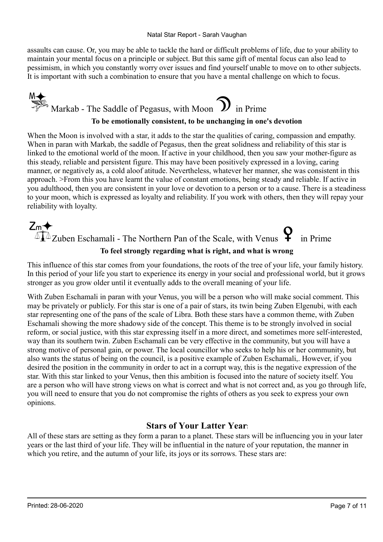assaults can cause. Or, you may be able to tackle the hard or difficult problems of life, due to your ability to maintain your mental focus on a principle or subject. But this same gift of mental focus can also lead to pessimism, in which you constantly worry over issues and find yourself unable to move on to other subjects. It is important with such a combination to ensure that you have a mental challenge on which to focus.



When the Moon is involved with a star, it adds to the star the qualities of caring, compassion and empathy. When in paran with Markab, the saddle of Pegasus, then the great solidness and reliability of this star is linked to the emotional world of the moon. If active in your childhood, then you saw your mother-figure as this steady, reliable and persistent figure. This may have been positively expressed in a loving, caring manner, or negatively as, a cold aloof atitude. Nevertheless, whatever her manner, she was consistent in this approach. >From this you have learnt the value of constant emotions, being steady and reliable. If active in you adulthood, then you are consistent in your love or devotion to a person or to a cause. There is a steadiness to your moon, which is expressed as loyalty and reliability. If you work with others, then they will repay your reliability with loyalty.

## $Z_m$   $\leftrightarrow$   $\Box$ <br> $\Box$   $\Box$  Zuben Eschamali - The Northern Pan of the Scale, with Venus  $\Box$  in Prime To feel strongly regarding what is right, and what is wrong

This influence of this star comes from your foundations, the roots of the tree of your life, your family history. In this period of your life you start to experience its energy in your social and professional world, but it grows stronger as you grow older until it eventually adds to the overall meaning of your life.

With Zuben Eschamali in paran with your Venus, you will be a person who will make social comment. This may be privately or publicly. For this star is one of a pair of stars, its twin being Zuben Elgenubi, with each star representing one of the pans of the scale of Libra. Both these stars have a common theme, with Zuben Eschamali showing the more shadowy side of the concept. This theme is to be strongly involved in social reform, or social justice, with this star expressing itself in a more direct, and sometimes more self-interested, way than its southern twin. Zuben Eschamali can be very effective in the community, but you will have a strong motive of personal gain, or power. The local councillor who seeks to help his or her community, but also wants the status of being on the council, is a positive example of Zuben Eschamali,. However, if you desired the position in the community in order to act in a corrupt way, this is the negative expression of the star. With this star linked to your Venus, then this ambition is focused into the nature of society itself. You are a person who will have strong views on what is correct and what is not correct and, as you go through life, you will need to ensure that you do not compromise the rights of others as you seek to express your own opinions.

#### Stars of Your Latter Years

All of these stars are setting as they form a paran to a planet. These stars will be influencing you in your later years or the last third of your life. They will be influential in the nature of your reputation, the manner in which you retire, and the autumn of your life, its joys or its sorrows. These stars are: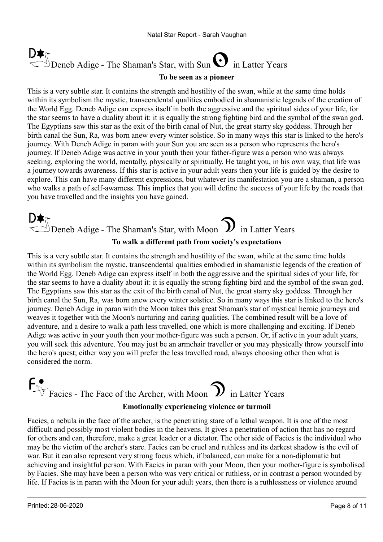## Deneb Adige - The Shaman's Star, with Sun  $\bigcup$  in Latter Years

#### To be seen as a pioneer

This is a very subtle star. It contains the strength and hostility of the swan, while at the same time holds within its symbolism the mystic, transcendental qualities embodied in shamanistic legends of the creation of the World Egg. Deneb Adige can express itself in both the aggressive and the spiritual sides of your life, for the star seems to have a duality about it: it is equally the strong fighting bird and the symbol of the swan god. The Egyptians saw this star as the exit of the birth canal of Nut, the great starry sky goddess. Through her birth canal the Sun, Ra, was born anew every winter solstice. So in many ways this star is linked to the hero's journey. With Deneb Adige in paran with your Sun you are seen as a person who represents the hero's journey. If Deneb Adige was active in your youth then your father-figure was a person who was always seeking, exploring the world, mentally, physically or spiritually. He taught you, in his own way, that life was a journey towards awareness. If this star is active in your adult years then your life is guided by the desire to explore. This can have many different expressions, but whatever its manifestation you are a shaman, a person who walks a path of self-awarness. This implies that you will define the success of your life by the roads that you have travelled and the insights you have gained.

### $\mathbb{S}_{\text{Deneb}}$  Adige - The Shaman's Star, with Moon  $\mathbb{S}_{\text{in Latter Years}}$ To walk a different path from society's expectations

This is a very subtle star. It contains the strength and hostility of the swan, while at the same time holds within its symbolism the mystic, transcendental qualities embodied in shamanistic legends of the creation of the World Egg. Deneb Adige can express itself in both the aggressive and the spiritual sides of your life, for the star seems to have a duality about it: it is equally the strong fighting bird and the symbol of the swan god. The Egyptians saw this star as the exit of the birth canal of Nut, the great starry sky goddess. Through her birth canal the Sun, Ra, was born anew every winter solstice. So in many ways this star is linked to the hero's journey. Deneb Adige in paran with the Moon takes this great Shaman's star of mystical heroic journeys and weaves it together with the Moon's nurturing and caring qualities. The combined result will be a love of adventure, and a desire to walk a path less travelled, one which is more challenging and exciting. If Deneb Adige was active in your youth then your mother-figure was such a person. Or, if active in your adult years, you will seek this adventure. You may just be an armchair traveller or you may physically throw yourself into the hero's quest; either way you will prefer the less travelled road, always choosing other then what is considered the norm.

## $f^{\bullet}_{\text{Facies -}$  The Face of the Archer, with Moon  $\mathcal{D}$  in Latter Years Emotionally experiencing violence or turmoil

Facies, a nebula in the face of the archer, is the penetrating stare of a lethal weapon. It is one of the most difficult and possibly most violent bodies in the heavens. It gives a penetration of action that has no regard for others and can, therefore, make a great leader or a dictator. The other side of Facies is the individual who may be the victim of the archer's stare. Facies can be cruel and ruthless and its darkest shadow is the evil of war. But it can also represent very strong focus which, if balanced, can make for a non-diplomatic but achieving and insightful person. With Facies in paran with your Moon, then your mother-figure is symbolised by Facies. She may have been a person who was very critical or ruthless, or in contrast a person wounded by life. If Facies is in paran with the Moon for your adult years, then there is a ruthlessness or violence around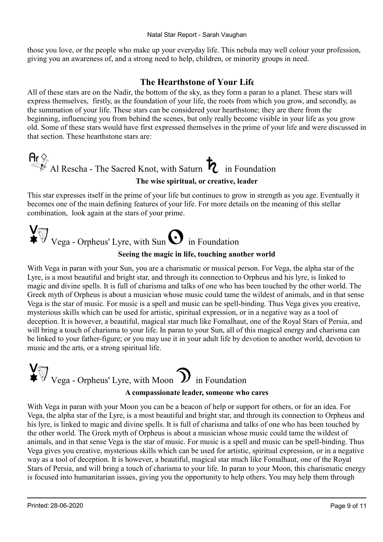those you love, or the people who make up your everyday life. This nebula may well colour your profession, giving you an awareness of, and a strong need to help, children, or minority groups in need.

#### The Hearthstone of Your Life

All of these stars are on the Nadir, the bottom of the sky, as they form a paran to a planet. These stars will express themselves, firstly, as the foundation of your life, the roots from which you grow, and secondly, as the summation of your life. These stars can be considered your hearthstone; they are there from the beginning, influencing you from behind the scenes, but only really become visible in your life as you grow old. Some of these stars would have first expressed themselves in the prime of your life and were discussed in that section. These hearthstone stars are:

## $\mathsf{Ar}\nsubseteq_{\mathbb{R}}$  Al Rescha - The Sacred Knot, with Saturn  $\mathcal{R}$  in Foundation

#### The wise spiritual, or creative, leader

This star expresses itself in the prime of your life but continues to grow in strength as you age. Eventually it becomes one of the main defining features of your life. For more details on the meaning of this stellar combination, look again at the stars of your prime.

## $\bigvee^{\mathbf{V}}_{\mathbf{Vega}}$  - Orpheus' Lyre, with Sun  $\mathbf{O}$  in Foundation

#### Seeing the magic in life, touching another world

With Vega in paran with your Sun, you are a charismatic or musical person. For Vega, the alpha star of the Lyre, is a most beautiful and bright star, and through its connection to Orpheus and his lyre, is linked to magic and divine spells. It is full of charisma and talks of one who has been touched by the other world. The Greek myth of Orpheus is about a musician whose music could tame the wildest of animals, and in that sense Vega is the star of music. For music is a spell and music can be spell-binding. Thus Vega gives you creative, mysterious skills which can be used for artistic, spiritual expression, or in a negative way as a tool of deception. It is however, a beautiful, magical star much like Fomalhaut, one of the Royal Stars of Persia, and will bring a touch of charisma to your life. In paran to your Sun, all of this magical energy and charisma can be linked to your father-figure; or you may use it in your adult life by devotion to another world, devotion to music and the arts, or a strong spiritual life.

### $\sum_{\text{Vega - Orpheus' Lyre, with Moon}}$  in Foundation A compassionate leader, someone who cares

With Vega in paran with your Moon you can be a beacon of help or support for others, or for an idea. For Vega, the alpha star of the Lyre, is a most beautiful and bright star, and through its connection to Orpheus and his lyre, is linked to magic and divine spells. It is full of charisma and talks of one who has been touched by the other world. The Greek myth of Orpheus is about a musician whose music could tame the wildest of animals, and in that sense Vega is the star of music. For music is a spell and music can be spell-binding. Thus Vega gives you creative, mysterious skills which can be used for artistic, spiritual expression, or in a negative way as a tool of deception. It is however, a beautiful, magical star much like Fomalhaut, one of the Royal Stars of Persia, and will bring a touch of charisma to your life. In paran to your Moon, this charismatic energy is focused into humanitarian issues, giving you the opportunity to help others. You may help them through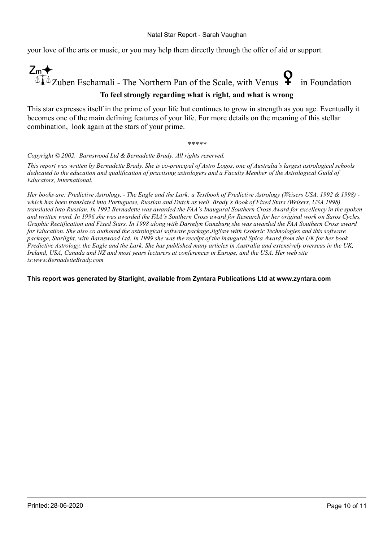your love of the arts or music, or you may help them directly through the offer of aid or support.



#### To feel strongly regarding what is right, and what is wrong

This star expresses itself in the prime of your life but continues to grow in strength as you age. Eventually it becomes one of the main defining features of your life. For more details on the meaning of this stellar combination, look again at the stars of your prime.

\*\*\*\*\*

Copyright © 2002. Barnswood Ltd & Bernadette Brady. All rights reserved.

This report was written by Bernadette Brady. She is co-principal of Astro Logos, one of Australia's largest astrological schools dedicated to the education and qualification of practising astrologers and a Faculty Member of the Astrological Guild of Educators, International.

Her books are: Predictive Astrology, - The Eagle and the Lark: a Textbook of Predictive Astrology (Weisers USA, 1992 & 1998) which has been translated into Portuguese, Russian and Dutch as well Brady's Book of Fixed Stars (Weisers, USA 1998) translated into Russian. In 1992 Bernadette was awarded the FAA's Inaugural Southern Cross Award for excellency in the spoken and written word. In 1996 she was awarded the FAA's Southern Cross award for Research for her original work on Saros Cycles, Graphic Rectification and Fixed Stars. In 1998 along with Darrelyn Gunzburg she was awarded the FAA Southern Cross award for Education. She also co authored the astrological software package JigSaw with Esoteric Technologies and this software package, Starlight, with Barnswood Ltd. In 1999 she was the receipt of the inaugural Spica Award from the UK for her book Predictive Astrology, the Eagle and the Lark. She has published many articles in Australia and extensively overseas in the UK, Ireland, USA, Canada and NZ and most years lecturers at conferences in Europe, and the USA. Her web site is:www.BernadetteBrady.com

#### This report was generated by Starlight, available from Zyntara Publications Ltd at www.zyntara.com